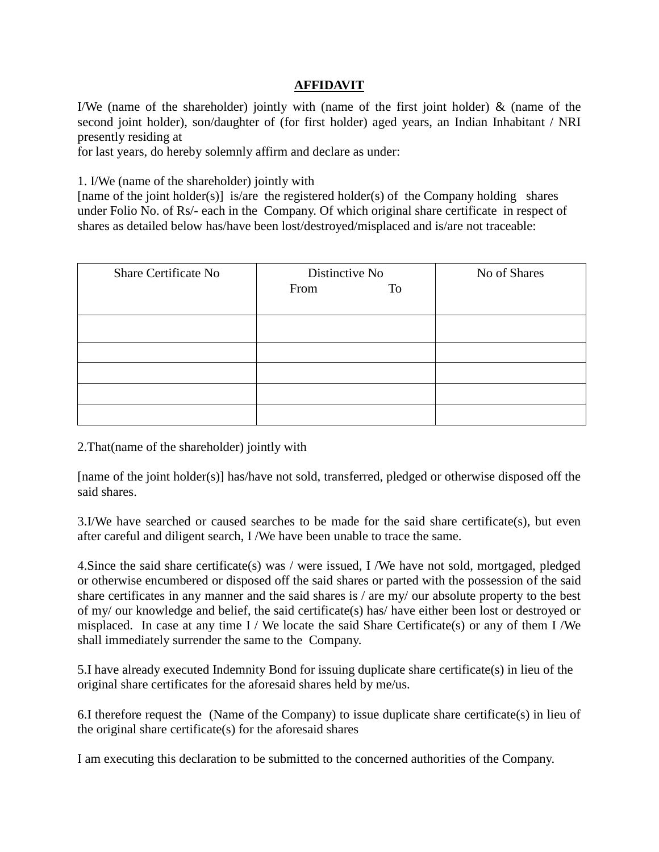## **AFFIDAVIT**

I/We (name of the shareholder) jointly with (name of the first joint holder)  $\&$  (name of the second joint holder), son/daughter of (for first holder) aged years, an Indian Inhabitant / NRI presently residing at

for last years, do hereby solemnly affirm and declare as under:

1. I/We (name of the shareholder) jointly with

[name of the joint holder(s)] is/are the registered holder(s) of the Company holding shares under Folio No. of Rs/- each in the Company. Of which original share certificate in respect of shares as detailed below has/have been lost/destroyed/misplaced and is/are not traceable:

| <b>Share Certificate No</b> | Distinctive No |    | No of Shares |
|-----------------------------|----------------|----|--------------|
|                             | From           | To |              |
|                             |                |    |              |
|                             |                |    |              |
|                             |                |    |              |
|                             |                |    |              |
|                             |                |    |              |
|                             |                |    |              |

## 2.That(name of the shareholder) jointly with

[name of the joint holder(s)] has/have not sold, transferred, pledged or otherwise disposed off the said shares.

3.I/We have searched or caused searches to be made for the said share certificate(s), but even after careful and diligent search, I /We have been unable to trace the same.

4.Since the said share certificate(s) was / were issued, I /We have not sold, mortgaged, pledged or otherwise encumbered or disposed off the said shares or parted with the possession of the said share certificates in any manner and the said shares is / are my/ our absolute property to the best of my/ our knowledge and belief, the said certificate(s) has/ have either been lost or destroyed or misplaced. In case at any time I / We locate the said Share Certificate(s) or any of them I /We shall immediately surrender the same to the Company.

5.I have already executed Indemnity Bond for issuing duplicate share certificate(s) in lieu of the original share certificates for the aforesaid shares held by me/us.

6.I therefore request the (Name of the Company) to issue duplicate share certificate(s) in lieu of the original share certificate(s) for the aforesaid shares

I am executing this declaration to be submitted to the concerned authorities of the Company.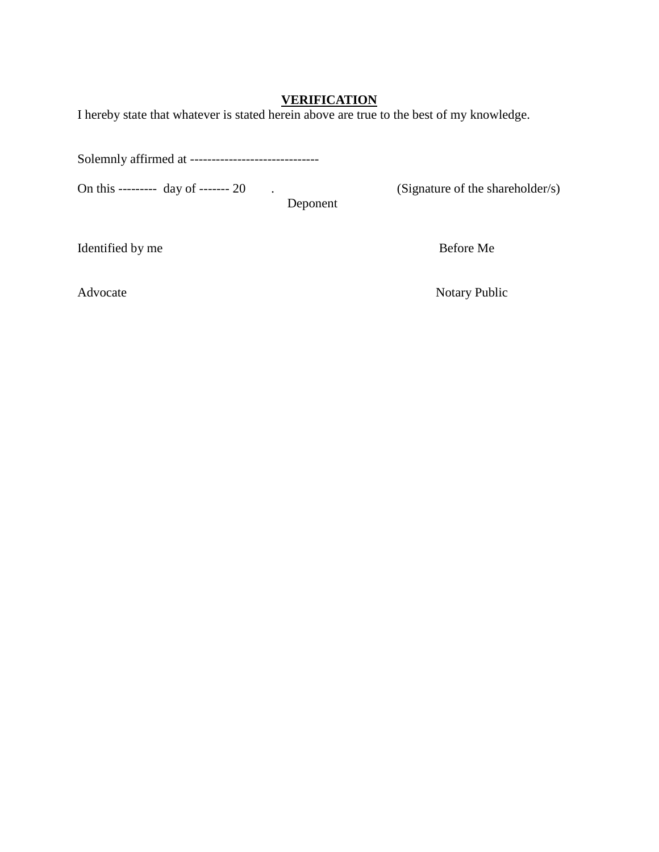## **VERIFICATION**

I hereby state that whatever is stated herein above are true to the best of my knowledge.

Solemnly affirmed at ------------------------------

On this --------- day of ------- 20 . (Signature of the shareholder/s)

Deponent

Identified by me Before Me

Advocate Notary Public